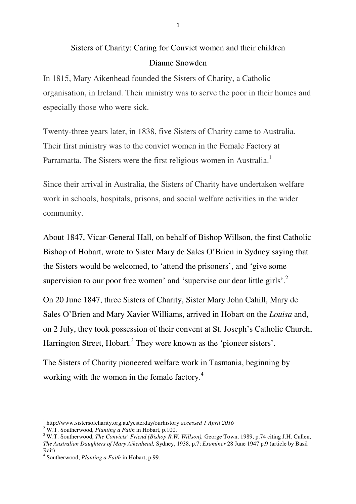## Sisters of Charity: Caring for Convict women and their children Dianne Snowden

In 1815, Mary Aikenhead founded the Sisters of Charity, a Catholic organisation, in Ireland. Their ministry was to serve the poor in their homes and especially those who were sick.

Twenty-three years later, in 1838, five Sisters of Charity came to Australia. Their first ministry was to the convict women in the Female Factory at Parramatta. The Sisters were the first religious women in Australia.<sup>1</sup>

Since their arrival in Australia, the Sisters of Charity have undertaken welfare work in schools, hospitals, prisons, and social welfare activities in the wider community.

About 1847, Vicar-General Hall, on behalf of Bishop Willson, the first Catholic Bishop of Hobart, wrote to Sister Mary de Sales O'Brien in Sydney saying that the Sisters would be welcomed, to 'attend the prisoners', and 'give some supervision to our poor free women' and 'supervise our dear little girls'.<sup>2</sup>

On 20 June 1847, three Sisters of Charity, Sister Mary John Cahill, Mary de Sales O'Brien and Mary Xavier Williams, arrived in Hobart on the *Louisa* and, on 2 July, they took possession of their convent at St. Joseph's Catholic Church, Harrington Street, Hobart.<sup>3</sup> They were known as the 'pioneer sisters'.

The Sisters of Charity pioneered welfare work in Tasmania, beginning by working with the women in the female factory.<sup>4</sup>

l

<sup>1</sup> http://www.sistersofcharity.org.au/yesterday/ourhistory *accessed 1 April 2016*

<sup>2</sup> W.T. Southerwood, *Planting a Faith* in Hobart, p.100.

<sup>&</sup>lt;sup>3</sup> W.T. Southerwood, *The Convicts' Friend (Bishop R.W. Willson)*, George Town, 1989, p.74 citing J.H. Cullen, *The Australian Daughters of Mary Aikenhead,* Sydney, 1938, p.7; *Examiner* 28 June 1947 p.9 (article by Basil Rait)

<sup>4</sup> Southerwood, *Planting a Faith* in Hobart, p.99.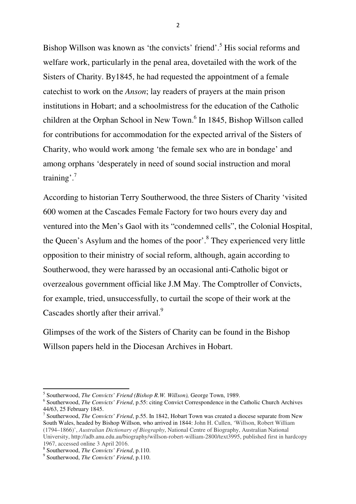Bishop Willson was known as 'the convicts' friend'.<sup>5</sup> His social reforms and welfare work, particularly in the penal area, dovetailed with the work of the Sisters of Charity. By1845, he had requested the appointment of a female catechist to work on the *Anson*; lay readers of prayers at the main prison institutions in Hobart; and a schoolmistress for the education of the Catholic children at the Orphan School in New Town.<sup>6</sup> In 1845, Bishop Willson called for contributions for accommodation for the expected arrival of the Sisters of Charity, who would work among 'the female sex who are in bondage' and among orphans 'desperately in need of sound social instruction and moral training'.<sup>7</sup>

According to historian Terry Southerwood, the three Sisters of Charity 'visited 600 women at the Cascades Female Factory for two hours every day and ventured into the Men's Gaol with its "condemned cells", the Colonial Hospital, the Queen's Asylum and the homes of the poor'.<sup>8</sup> They experienced very little opposition to their ministry of social reform, although, again according to Southerwood, they were harassed by an occasional anti-Catholic bigot or overzealous government official like J.M May. The Comptroller of Convicts, for example, tried, unsuccessfully, to curtail the scope of their work at the Cascades shortly after their arrival.<sup>9</sup>

Glimpses of the work of the Sisters of Charity can be found in the Bishop Willson papers held in the Diocesan Archives in Hobart.

 $\overline{a}$ 

2

<sup>5</sup> Southerwood, *The Convicts' Friend (Bishop R.W. Willson),* George Town, 1989.

<sup>&</sup>lt;sup>6</sup> Southerwood, *The Convicts' Friend*, p.55: citing Convict Correspondence in the Catholic Church Archives 44/63, 25 February 1845.

<sup>7</sup> Southerwood, *The Convicts' Friend*, p.55. In 1842, Hobart Town was created a diocese separate from New South Wales, headed by Bishop Willson, who arrived in 1844: John H. Cullen, 'Willson, Robert William (1794–1866)', *Australian Dictionary of Biography*, National Centre of Biography, Australian National University, http://adb.anu.edu.au/biography/willson-robert-william-2800/text3995, published first in hardcopy 1967, accessed online 3 April 2016.

<sup>8</sup> Southerwood, *The Convicts' Friend*, p.110.

<sup>9</sup> Southerwood, *The Convicts' Friend*, p.110.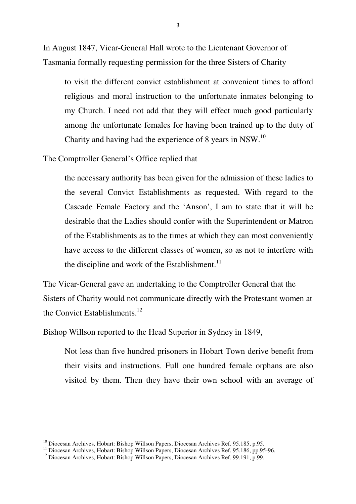In August 1847, Vicar-General Hall wrote to the Lieutenant Governor of Tasmania formally requesting permission for the three Sisters of Charity

to visit the different convict establishment at convenient times to afford religious and moral instruction to the unfortunate inmates belonging to my Church. I need not add that they will effect much good particularly among the unfortunate females for having been trained up to the duty of Charity and having had the experience of 8 years in NSW.<sup>10</sup>

The Comptroller General's Office replied that

the necessary authority has been given for the admission of these ladies to the several Convict Establishments as requested. With regard to the Cascade Female Factory and the 'Anson', I am to state that it will be desirable that the Ladies should confer with the Superintendent or Matron of the Establishments as to the times at which they can most conveniently have access to the different classes of women, so as not to interfere with the discipline and work of the Establishment. $^{11}$ 

The Vicar-General gave an undertaking to the Comptroller General that the Sisters of Charity would not communicate directly with the Protestant women at the Convict Establishments. $^{12}$ 

Bishop Willson reported to the Head Superior in Sydney in 1849,

Not less than five hundred prisoners in Hobart Town derive benefit from their visits and instructions. Full one hundred female orphans are also visited by them. Then they have their own school with an average of

l

 $10$  Diocesan Archives, Hobart: Bishop Willson Papers, Diocesan Archives Ref. 95.185, p.95.

<sup>11</sup> Diocesan Archives, Hobart: Bishop Willson Papers, Diocesan Archives Ref. 95.186, pp.95-96.

<sup>&</sup>lt;sup>12</sup> Diocesan Archives, Hobart: Bishop Willson Papers, Diocesan Archives Ref. 99.191, p.99.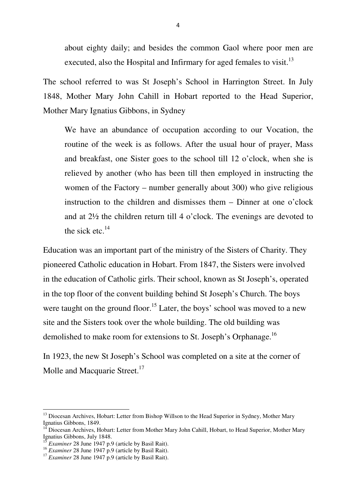about eighty daily; and besides the common Gaol where poor men are executed, also the Hospital and Infirmary for aged females to visit.<sup>13</sup>

The school referred to was St Joseph's School in Harrington Street. In July 1848, Mother Mary John Cahill in Hobart reported to the Head Superior, Mother Mary Ignatius Gibbons, in Sydney

We have an abundance of occupation according to our Vocation, the routine of the week is as follows. After the usual hour of prayer, Mass and breakfast, one Sister goes to the school till 12 o'clock, when she is relieved by another (who has been till then employed in instructing the women of the Factory – number generally about 300) who give religious instruction to the children and dismisses them – Dinner at one o'clock and at 2½ the children return till 4 o'clock. The evenings are devoted to the sick etc. $^{14}$ 

Education was an important part of the ministry of the Sisters of Charity. They pioneered Catholic education in Hobart. From 1847, the Sisters were involved in the education of Catholic girls. Their school, known as St Joseph's, operated in the top floor of the convent building behind St Joseph's Church. The boys were taught on the ground floor.<sup>15</sup> Later, the boys' school was moved to a new site and the Sisters took over the whole building. The old building was demolished to make room for extensions to St. Joseph's Orphanage.<sup>16</sup>

In 1923, the new St Joseph's School was completed on a site at the corner of Molle and Macquarie Street.<sup>17</sup>

 $\overline{a}$ 

<sup>&</sup>lt;sup>13</sup> Diocesan Archives, Hobart: Letter from Bishop Willson to the Head Superior in Sydney, Mother Mary Ignatius Gibbons, 1849.

<sup>&</sup>lt;sup>14</sup> Diocesan Archives, Hobart: Letter from Mother Mary John Cahill, Hobart, to Head Superior, Mother Mary Ignatius Gibbons, July 1848.

<sup>15</sup> *Examiner* 28 June 1947 p.9 (article by Basil Rait).

<sup>&</sup>lt;sup>16</sup> *Examiner* 28 June 1947 p.9 (article by Basil Rait).

<sup>&</sup>lt;sup>17</sup> *Examiner* 28 June 1947 p.9 (article by Basil Rait).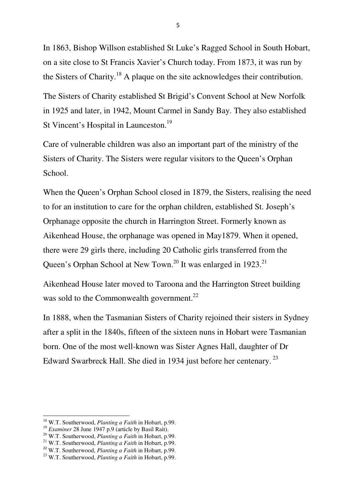In 1863, Bishop Willson established St Luke's Ragged School in South Hobart, on a site close to St Francis Xavier's Church today. From 1873, it was run by the Sisters of Charity.<sup>18</sup> A plaque on the site acknowledges their contribution.

The Sisters of Charity established St Brigid's Convent School at New Norfolk in 1925 and later, in 1942, Mount Carmel in Sandy Bay. They also established St Vincent's Hospital in Launceston.<sup>19</sup>

Care of vulnerable children was also an important part of the ministry of the Sisters of Charity. The Sisters were regular visitors to the Queen's Orphan School.

When the Queen's Orphan School closed in 1879, the Sisters, realising the need to for an institution to care for the orphan children, established St. Joseph's Orphanage opposite the church in Harrington Street. Formerly known as Aikenhead House, the orphanage was opened in May1879. When it opened, there were 29 girls there, including 20 Catholic girls transferred from the Queen's Orphan School at New Town.<sup>20</sup> It was enlarged in 1923.<sup>21</sup>

Aikenhead House later moved to Taroona and the Harrington Street building was sold to the Commonwealth government.<sup>22</sup>

In 1888, when the Tasmanian Sisters of Charity rejoined their sisters in Sydney after a split in the 1840s, fifteen of the sixteen nuns in Hobart were Tasmanian born. One of the most well-known was Sister Agnes Hall, daughter of Dr Edward Swarbreck Hall. She died in 1934 just before her centenary.<sup>23</sup>

l

<sup>18</sup> W.T. Southerwood, *Planting a Faith* in Hobart, p.99.

<sup>&</sup>lt;sup>19</sup> *Examiner* 28 June 1947 p.9 (article by Basil Rait).

<sup>20</sup> W.T. Southerwood, *Planting a Faith* in Hobart, p.99.

<sup>21</sup> W.T. Southerwood, *Planting a Faith* in Hobart, p.99.

<sup>22</sup> W.T. Southerwood, *Planting a Faith* in Hobart, p.99.

<sup>23</sup> W.T. Southerwood, *Planting a Faith* in Hobart, p.99.